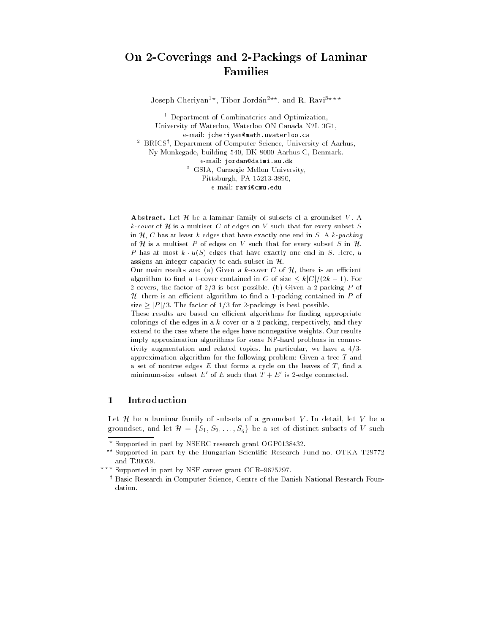# On 2-Coverings and 2-Packings of Laminar Families

Joseph Cheriyan<sup>1\*</sup>, Tibor Jordán<sup>2\*\*</sup>, and R. Ravi<sup>3\*\*\*</sup>

 $\,$  - Department of Combinatorics and Optimization, University of Waterloo, Waterloo ON Canada N2L 3G1, e-mail: jcheriyan@math.uwaterloo.ca  $\tilde{\phantom{a}}$  BRICS', Department of Computer Science, University of Aarhus, Ny Munkegade, building 540, DK-8000 Aarhus C, Denmark. e-mail: jordan@daimi.au.dk <sup>3</sup> GSIA, Carnegie Mellon University, Pittsburgh, PA 15213-3890, e-mail: ravi@cmu.edu

Abstract. Let  $\mathcal H$  be a laminar family of subsets of a groundset V. A k-cover of H is a multiset C of edges on V such that for every subset S in  $H$ , C has at least k edges that have exactly one end in S. A k-packing of H is a multiset P of edges on V such that for every subset S in  $H$ , P has at most  $k \cdot u(S)$  edges that have exactly one end in S. Here, u assigns an integer capacity to each subset in  $H$ .

Our main results are: (a) Given a k-cover C of  $H$ , there is an efficient algorithm to find a 1-cover contained in C of size  $\lt k|C|/(2k-1)$ . For 2-covers, the factor of  $2/3$  is best possible. (b) Given a 2-packing P of  $H$ , there is an efficient algorithm to find a 1-packing contained in P of size  $>$  |P|/3. The factor of 1/3 for 2-packings is best possible.

These results are based on efficient algorithms for finding appropriate colorings of the edges in a  $k$ -cover or a 2-packing, respectively, and they extend to the case where the edges have nonnegative weights. Our results imply approximation algorithms for some NP-hard problems in connectivity augmentation and related topics. In particular, we have a  $4/3$ approximation algorithm for the following problem: Given a tree  $T$  and a set of nontree edges  $E$  that forms a cycle on the leaves of  $T$ , find a minimum-size subset E of E such that  $T+E$  is 2-edge connected.

### **Introduction**  $\mathbf{1}$

Let  $\mathcal H$  be a laminar family of subsets of a groundset V. In detail, let V be a groundset, and let  $\mathcal{H} = \{S_1, S_2, \ldots, S_q\}$  be a set of distinct subsets of V such

? ? ? Supported in part by NSF career grant CCR{9625297.

Supported in part by NSERC research grant OGP0138432.

<sup>??</sup> Supported in part by the Hungarian Scientic Research Fund no. OTKA T29772 and T30059.

<sup>&#</sup>x27; Basic Research in Computer Science, Centre of the Danish National Research Foundation.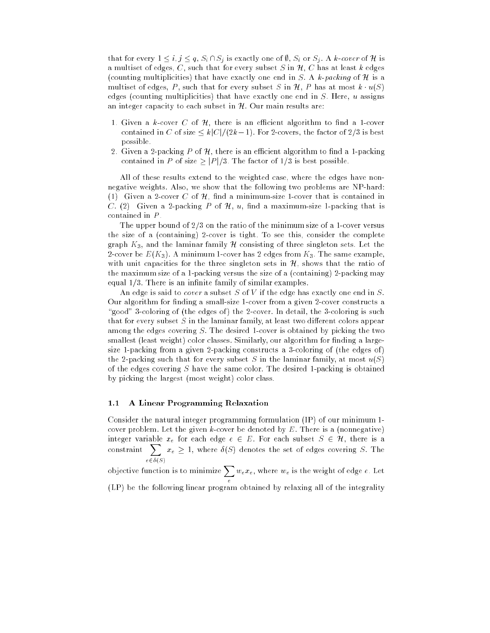that for every  $1 \leq i, j \leq q$ ,  $S_i \cap S_j$  is exactly one of  $\emptyset$ ,  $S_i$  or  $S_j$ . A k-cover of H is a multiset of edges, C, such that for every subset S in  $\mathcal{H}$ , C has at least k edges (counting multiplicities) that have exactly one end in S. A k-packing of  $\mathcal H$  is a multiset of edges, P, such that for every subset S in  $\mathcal{H}$ , P has at most  $k \cdot u(S)$ edges (counting multiplicities) that have exactly one end in  $S$ . Here,  $u$  assigns an integer capacity to each subset in  $H$ . Our main results are:

- 1. Given a k-cover C of  $H$ , there is an efficient algorithm to find a 1-cover contained in C of size  $\leq k\frac{|C|}{(2k-1)}$ . For 2-covers, the factor of 2/3 is best possible.
- 2. Given a 2-packing P of  $\mathcal{H}$ , there is an efficient algorithm to find a 1-packing contained in P of size  $\geq$  |P |/3. The factor of 1/3 is best possible.

All of these results extend to the weighted case, where the edges have nonnegative weights. Also, we show that the following two problems are NP-hard: (1) Given a 2-cover C of  $H$ , find a minimum-size 1-cover that is contained in C. (2) Given a 2-packing P of  $\mathcal{H}, u$ , find a maximum-size 1-packing that is contained in P .

The upper bound of  $2/3$  on the ratio of the minimum size of a 1-cover versus the size of a (containing) 2-cover is tight. To see this, consider the complete graph  $K_3$ , and the laminar family H consisting of three singleton sets. Let the 2-cover be  $E(K_3)$ . A minimum 1-cover has 2 edges from  $K_3$ . The same example, with unit capacities for the three singleton sets in  $H$ , shows that the ratio of the maximum size of a 1-packing versus the size of a (containing) 2-packing may equal  $1/3$ . There is an infinite family of similar examples.

An edge is said to *cover* a subset S of V if the edge has exactly one end in S. Our algorithm for finding a small-size 1-cover from a given 2-cover constructs a "good" 3-coloring of (the edges of) the 2-cover. In detail, the 3-coloring is such that for every subset  $S$  in the laminar family, at least two different colors appear among the edges covering S. The desired 1-cover is obtained by picking the two smallest (least weight) color classes. Similarly, our algorithm for finding a largesize 1-packing from a given 2-packing constructs a 3-coloring of (the edges of ) the 2-packing such that for every subset S in the laminar family, at most  $u(S)$ of the edges covering S have the same color. The desired 1-packing is obtained by picking the largest (most weight) color class.

## 1.1 A Linear Programming Relaxation

Consider the natural integer programming formulation (IP) of our minimum 1 cover problem. Let the given  $k$ -cover be denoted by  $E$ . There is a (nonnegative) integer variable  $x_e$  for each edge  $e \in E$ . For each subset  $S \in \mathcal{H}$ , there is a  $_{\rm constraint}$   $\rm \sum$  $e\in\delta(S)$  $x_e$  ,  $x_i$ , where  $v(y)$  denotes the set of edges covering  $\omega$ . The

objective function is to minimize  $\sum w_e x_e$ , where  $w_e$  is the weight of edge  $e$  . Let e

(LP) be the following linear program obtained by relaxing all of the integrality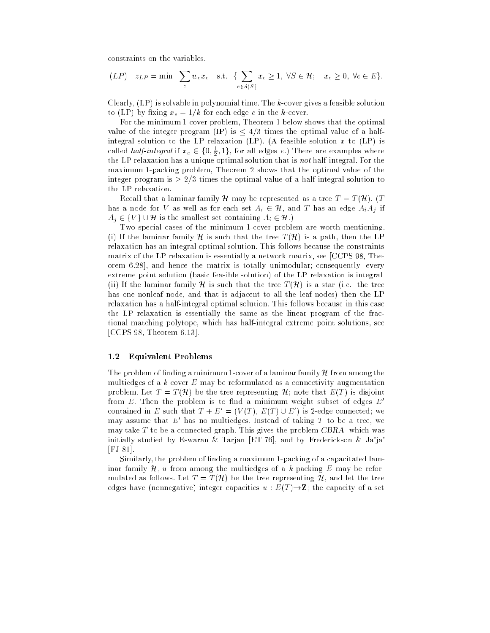constraints on the variables.

$$
(LP) \quad z_{LP} = \min \sum_{e} w_e x_e \quad \text{s.t.} \quad \{ \sum_{e \in \delta(S)} x_e \ge 1, \ \forall S \in \mathcal{H}; \quad x_e \ge 0, \ \forall e \in E \}.
$$

Clearly,  $(LP)$  is solvable in polynomial time. The  $k$ -cover gives a feasible solution to (LP) by fixing  $x_e = 1/k$  for each edge e in the k-cover.

For the minimum 1-cover problem, Theorem 1 below shows that the optimal value of the integer program (IP) is  $\leq 4/3$  times the optimal value of a halfintegral solution to the LP relaxation (LP). (A feasible solution x to (LP) is called *half-integral* if  $x_e \in \{0, \frac{1}{2}, 1\}$ , for all edges e.) There are examples where the LP relaxation has a unique optimal solution that is *not* half-integral. For the maximum 1-packing problem, Theorem 2 shows that the optimal value of the integer program is  $\geq 2/3$  times the optimal value of a half-integral solution to the LP relaxation.

Recall that a laminar family H may be represented as a tree  $T = T(\mathcal{H})$ . (T has a node for V as well as for each set  $A_i \in \mathcal{H}$ , and T has an edge  $A_i A_j$  if  $A_i \in \{V\} \cup \mathcal{H}$  is the smallest set containing  $A_i \in \mathcal{H}$ .)

Two special cases of the minimum 1-cover problem are worth mentioning. (i) If the laminar family H is such that the tree  $T(\mathcal{H})$  is a path, then the LP relaxation has an integral optimal solution. This follows because the constraints matrix of the LP relaxation is essentially a network matrix, see [CCPS 98, Theorem 6.28], and hence the matrix is totally unimodular; consequently, every extreme point solution (basic feasible solution) of the LP relaxation is integral. (ii) If the laminar family H is such that the tree  $T(\mathcal{H})$  is a star (i.e., the tree has one nonleaf node, and that is adjacent to all the leaf nodes) then the LP relaxation has a half-integral optimal solution. This follows because in this case the LP relaxation is essentially the same as the linear program of the fractional matching polytope, which has half-integral extreme point solutions, see [CCPS 98, Theorem 6.13].

## 1.2 Equivalent Problems

The problem of finding a minimum 1-cover of a laminar family  $H$  from among the multiedges of a  $k$ -cover  $E$  may be reformulated as a connectivity augmentation problem. Let  $T = T(\mathcal{H})$  be the tree representing  $\mathcal{H}$ ; note that  $E(T)$  is disjoint from  $E$ . Then the problem is to find a minimum weight subset of edges  $E'$ contained in E such that  $T + E_{0} = (V(T), E(T) \cup E)$  is 2-edge connected; we may assume that  $E$  has no multiedges. Instead of taking  $I$  to be a tree, we may take  $T$  to be a connected graph. This gives the problem  $CBRA$  which was initially studied by Eswaran & Tarjan [ET 76], and by Frederickson & Ja'ja' [FJ 81].

Similarly, the problem of nding a maximum 1-packing of a capacitated laminar family  $\mathcal{H}$ , u from among the multiedges of a k-packing E may be reformulated as follows. Let  $T = T(\mathcal{H})$  be the tree representing  $\mathcal{H}$ , and let the tree edges have (nonnegative) integer capacities  $u : E(T) \rightarrow Z$ ; the capacity of a set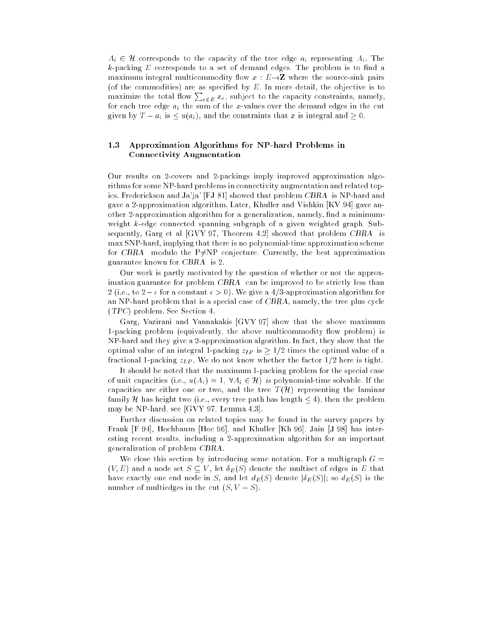$A_i \in \mathcal{H}$  corresponds to the capacity of the tree edge  $a_i$  representing  $A_i$ . The  $k$ -packing  $E$  corresponds to a set of demand edges. The problem is to find a maximum integral multicommodity flow  $x : E \rightarrow Z$  where the source-sink pairs (of the commodities) are as specified by  $E$ . In more detail, the objective is to maximize the total flow  $\sum_{e \in E} x_e$ , subject to the capacity constraints, namely, for each tree edge  $a_i$  the sum of the x-values over the demand edges in the cut given by  $T - a_i$  is  $\lt u(a_i)$ , and the constraints that x is integral and  $\gt 0$ .

## 1.3 Approximation Algorithms for NP-hard Problems in Connectivity Augmentation

Our results on 2-covers and 2-packings imply improved approximation algorithms for some NP-hard problems in connectivity augmentation and related topics. Frederickson and Ja'ja' [FJ 81] showed that problem CBRA is NP-hard and gave a 2-approximation algorithm. Later, Khuller and Vishkin [KV 94] gave another 2-approximation algorithm for a generalization, namely, find a minimumweight k-edge connected spanning subgraph of a given weighted graph. Subsequently, Garg et al [GVY 97, Theorem 4.2] showed that problem CBRA is max SNP-hard, implying that there is no polynomial-time approximation scheme for CBRA modulo the P $\neq$ NP conjecture. Currently, the best approximation guarantee known for CBRA is 2.

Our work is partly motivated by the question of whether or not the approximation guarantee for problem CBRA can be improved to be strictly less than 2 (i.e., to  $2 - \epsilon$  for a constant  $\epsilon > 0$ ). We give a 4/3-approximation algorithm for an NP-hard problem that is a special case of CBRA, namely, the tree plus cycle (TPC) problem. See Section 4.

Garg, Vazirani and Yannakakis [GVY 97] show that the above maximum 1-packing problem (equivalently, the above multicommodity flow problem) is NP-hard and they give a 2-approximation algorithm. In fact, they show that the optimal value of an integral 1-packing  $z_{IP}$  is  $\geq 1/2$  times the optimal value of a fractional 1-packing  $z_{LP}$ . We do not know whether the factor  $1/2$  here is tight.

It should be noted that the maximum 1-packing problem for the special case of unit capacities (i.e.,  $u(A_i) = 1$ ,  $\forall A_i \in \mathcal{H}$ ) is polynomial-time solvable. If the capacities are either one or two, and the tree  $T(\mathcal{H})$  representing the laminar family H has height two (i.e., every tree path has length  $\leq 4$ ), then the problem may be NP-hard, see [GVY 97, Lemma 4.3].

Further discussion on related topics may be found in the survey papers by Frank [F 94], Hochbaum [Hoc 96], and Khuller [Kh 96]. Jain [J 98] has interesting recent results, including a 2-approximation algorithm for an important generalization of problem CBRA.

We close this section by introducing some notation. For a multigraph  $G =$  $(V, E)$  and a node set  $S \subseteq V$ , let  $\delta_E(S)$  denote the multiset of edges in E that have exactly one end node in S, and let  $d_E(S)$  denote  $|\delta_E(S)|$ ; so  $d_E(S)$  is the number of multiedges in the cut  $(S, V - S)$ .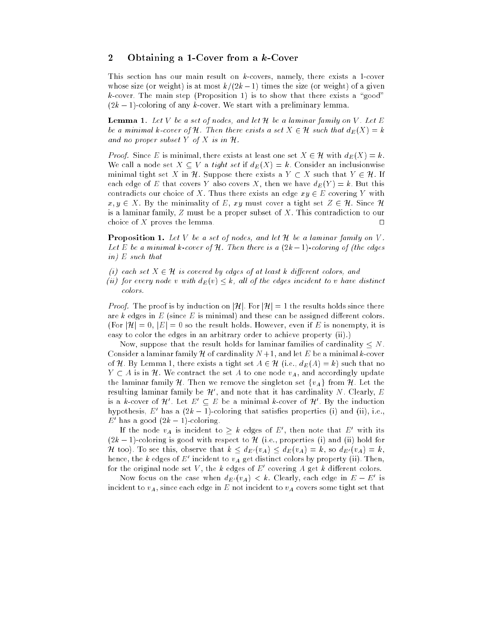## 2 Obtaining a 1-Cover from a k-Cover

This section has our main result on k-covers, namely, there exists a 1-cover whose size (or weight) is at most  $k/(2k-1)$  times the size (or weight) of a given  $k$ -cover. The main step (Proposition 1) is to show that there exists a "good"  $(2k-1)$ -coloring of any k-cover. We start with a preliminary lemma.

**Lemma 1.** Let V be a set of nodes, and let  $\mathcal{H}$  be a laminar family on V. Let E be a minimal  $\kappa$ -cover of  $\pi$ . Then there exists a set  $\Lambda \in \pi$  such that  $a_{E}(\Lambda) = \kappa$ and no proper subset I appeared in H.

Froof. Since E is minimal, there exists at least one set  $A \in \mathcal{H}$  with  $a_E(A) = \kappa$ . We call a node set  $X \subseteq V$  a tight set if  $d_E(X) = k$ . Consider an inclusionwise minimal tight set X in H. Suppose there exists a  $Y \subset X$  such that  $Y \in \mathcal{H}$ . If each edge of E that covers Y also covers X, then we have  $d_E(Y) = k$ . But this contradicts our choice of X. Thus there exists an edge  $xy \in E$  covering Y with  $x, y \in X$ . By the minimality of E, xy must cover a tight set  $Z \in \mathcal{H}$ . Since H is a laminar family, Z must be a proper subset of X. This contradiction to our choice of X proves the lemma.  $\square$ 

**Proposition 1.** Let V be a set of nodes, and let  $H$  be a laminar family on V. Let E be a minimal k-cover of H. Then there is a (2k 1)-coloring of (the edges  $\cdots$  . The such that the such that  $\cdots$ 

- (i) each set X 2 H is covered by edges of at least k dierent colors, and
- (ii) for every node v with  $a_E(v) \leq \kappa$ , all of the edges incident to v have aistinct colors.

Proof. The proof is by induction on jHj. For jHj = 1 the results holds since there are  $k$  edges in  $E$  (since  $E$  is minimal) and these can be assigned different colors. (For  $|\mathcal{H}| = 0$ ,  $|E| = 0$  so the result holds. However, even if E is nonempty, it is easy to color the edges in an arbitrary order to achieve property (ii).)

Now, suppose that the result holds for laminar families of cardinality  $\leq N$ . Consider a laminar family  $H$  of cardinality  $N+1$ , and let E be a minimal k-cover of H. By Lemma 1, there exists a tight set  $A \in \mathcal{H}$  (i.e.,  $d_E(A) = k$ ) such that no  $Y \subset A$  is in H. We contract the set A to one node  $v_A$ , and accordingly update the laminar family H. Then we remove the singleton set  $\{v_A\}$  from H. Let the resulting laminar family be  $\pi$  , and note that it has cardinality  $N$ . Clearly,  $E$ is a  $\kappa$ -cover of  $\pi$  . Let  $E\ \subseteq E$  be a minimal  $\kappa$ -cover of  $\pi$  . By the induction hypothesis,  $E$  has a ( $2k = 1$ )-coloring that satisfies properties (i) and (ii), i.e.,  $E$  has a good  $(2\kappa - 1)$ -coloring.

If the node  $v_A$  is incident to  $\geq \kappa$  edges of  $E$  , then note that  $E$  with its  $(2k-1)$ -coloring is good with respect to H (i.e., properties (i) and (ii) hold for  $\pi$  too). To see this, observe that  $\kappa \leq a_{E'}(v_A) \leq a_{E}(v_A) = \kappa$ , so  $a_{E'}(v_A) = \kappa$ , hence, the k edges of E incluent to  $v_A$  get distinct colors by property (ii). Then, for the original node set  $V$  , the  $\kappa$  edges of  $E$  -covering  $A$  get  $\kappa$  different colors.

Now focus on the case when  $a_{E'}(v_A) < \kappa$ . Ulearly, each edge in  $E - E^-$  is incident to  $v_A$ , since each edge in E not incident to  $v_A$  covers some tight set that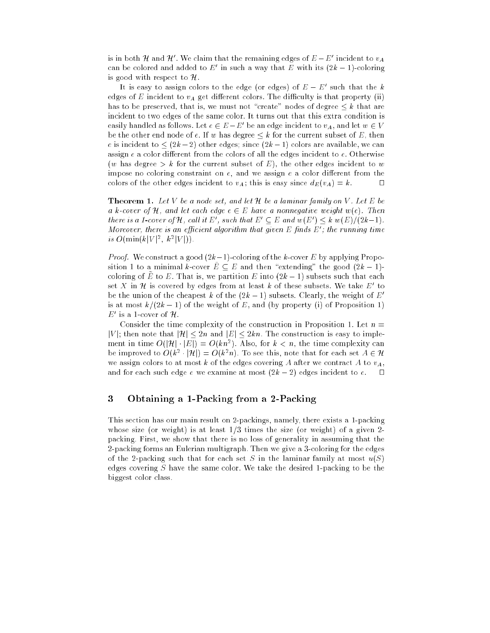is in both  $\pi$  and  $\pi$  . We claim that the remaining edges of  $E - E$  -incident to  $v_A$ can be colored and added to  $E$  in such a way that  $E$  with its ( $2\kappa = 1$ )-coloring is good with respect to  $\mathcal{H}$ .

It is easy to assign colors to the edge (or edges) of  $E=E$  -such that the  $\kappa$ edges of E incident to  $v_A$  get different colors. The difficulty is that property (ii) has to be preserved, that is, we must not "create" nodes of degree  $\leq k$  that are incident to two edges of the same color. It turns out that this extra condition is easily nandled as follows. Let  $e\in E-E$  be an edge incident to  $v_A$  , and let  $w\in V$ be the other end node of e. If w has degree  $\leq k$  for the current subset of E, then e is incident to  $\leq (2k - 2)$  other edges; since  $(2k - 1)$  colors are available, we can assign  $e$  a color different from the colors of all the edges incident to  $e$ . Otherwise (w has degree  $> k$  for the current subset of E), the other edges incident to w impose no coloring constraint on  $e$ , and we assign  $e$  a color different from the colors of the other edges incident to  $v_A$ ; this is easy since  $d_E(v_A) = k$ .

**Theorem 1.** Let V be a node set, and let  $H$  be a laminar family on V. Let E be a k-cover of H, and let each edge e <sup>2</sup> E have a nonnegative weight w(e). Then there is a 1-cover of  $\pi$ , call it Eq. such that  $E\subseteq E$  and  $w(E)\leq k$  w(E)(2k-1).  $\emph{Moreover, there is an efficient algorithm that given E phase is the running time.}$ is  $\mathbf{U}(\min\{k\} | V \mid^2, k^2 | V \mid)$ .

Proof. We construct a good (2k1)-coloring of the k-cover E by applying Proposition 1 to a minimal k-cover  $\tilde{E} \subseteq E$  and then "extending" the good  $(2k - 1)$ coloring of  $E_{\perp}$  to  $E_{\perp}$  . That is, we partition  $E_{\perp}$  into (2k  $=$  1) subsets such that each set  $\Lambda$  in  $\pi$  is covered by edges from at least  $\kappa$  of these subsets. We take  $E^-$  to be the union of the cheapest k of the  $(2k - 1)$  subsets. Clearly, the weight of E' is at most  $k/(2k - 1)$  of the weight of E, and (by property (i) of Proposition 1)  $E$  is a 1-cover of  $\pi$ .

Consider the time complexity of the construction in Proposition 1. Let  $n =$  $|V|$ ; then note that  $|\mathcal{H}| \leq 2n$  and  $|E| \leq 2kn$ . The construction is easy to implement in time  $O(|\mathcal{H}| \cdot |E|) = O(kn^*)$ . Also, for  $\kappa < n$ , the time complexity can be improved to  $O(k^2 + |H|) \equiv O(k^2 n)$ . To see this, note that for each set  $A \in H$ we assign colors to at most k of the edges covering A after we contract A to  $v_A$ . and for each such edge  $e$  we examine at most  $(2k - 2)$  edges incident to  $e$ .  $\Box$ 

### 3 3 Obtaining a 1-Packing from a 2-Packing

This section has our main result on 2-packings, namely, there exists a 1-packing whose size (or weight) is at least  $1/3$  times the size (or weight) of a given 2packing. First, we show that there is no loss of generality in assuming that the 2-packing forms an Eulerian multigraph. Then we give a 3-coloring for the edges of the 2-packing such that for each set S in the laminar family at most  $u(S)$ edges covering S have the same color. We take the desired 1-packing to be the biggest color class.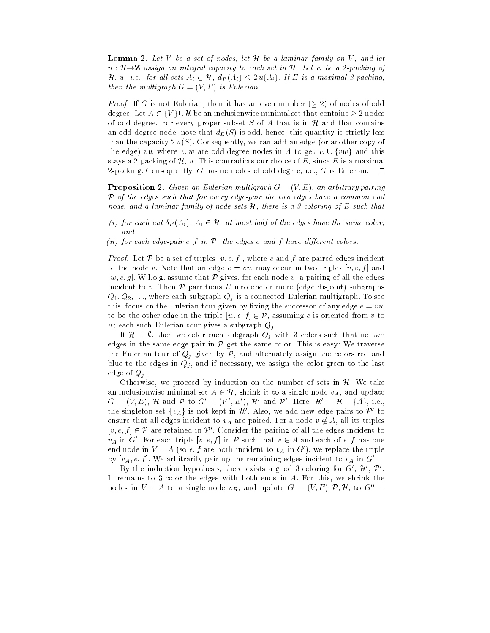**Lemma 2.** Let  $V$  be a set of nodes, let  $H$  be a laminar family on  $V$ , and let  $u : \mathcal{H} \rightarrow \mathbb{Z}$  assign an integral capacity to each set in  $\mathcal{H}$ . Let E be a 2-packing of H, u, i.e., for all sets  $A_i \in \mathcal{H}$ ,  $d_E(A_i) \leq 2 u(A_i)$ . If E is a maximal 2-packing, then the multigraph G = (V; E) is Eulerian.

Proof. If G is not Eulerian, then it has an even number ( 2) of nodes of odd degree. Let  $A \in \{V\} \cup \mathcal{H}$  be an inclusionwise minimal set that contains  $\geq 2$  nodes of odd degree. For every proper subset  $S$  of  $A$  that is in  $H$  and that contains an odd-degree node, note that  $d_E(S)$  is odd, hence, this quantity is strictly less than the capacity  $2 u(S)$ . Consequently, we can add an edge (or another copy of the edge) vw where v, w are odd-degree nodes in A to get  $E \cup \{vw\}$  and this stays a 2-packing of  $\mathcal{H}$ , u. This contradicts our choice of E, since E is a maximal 2-packing. Consequently, G has no nodes of odd degree, i.e., G is Eulerian.  $\square$ 

**Proposition 2.** Given an Eulerian multigraph  $G = (V, E)$ , an arbitrary pairing P of the edges such that for every edge-pair the two edges have a common end node, and a laminar family of node sets H, there is a 3-coloring of E such that

- (i) for each cut  $\sigma_{E}(A_i)$ ,  $A_i \in \pi$ , at most half of the eages have the same color,  $\cdots$
- (ii) for each edge-pair e; f in P, the edges e and f have dierent colors.

Proof. Let <sup>P</sup> be a set of triples [v; e; f ], where e and f are paired edges incident to the node v. Note that an edge  $e = vw$  may occur in two triples  $[v, e, f]$  and [w, e, g]. W.l.o.g. assume that  $P$  gives, for each node v, a pairing of all the edges incident to v. Then  $P$  partitions  $E$  into one or more (edge disjoint) subgraphs  $Q_1, Q_2, \ldots$ , where each subgraph  $Q_j$  is a connected Eulerian multigraph. To see this, focus on the Eulerian tour given by fixing the successor of any edge  $e = vw$ to be the other edge in the triple  $[w, e, f] \in \mathcal{P}$ , assuming e is oriented from v to w; each such Eulerian tour gives a subgraph  $Q_j$ .

If  $\mathcal{H} = \emptyset$ , then we color each subgraph  $Q_j$  with 3 colors such that no two edges in the same edge-pair in  $P$  get the same color. This is easy: We traverse the Eulerian tour of  $Q_j$  given by  $P$ , and alternately assign the colors red and blue to the edges in  $Q_j$ , and if necessary, we assign the color green to the last edge of  $Q_j$ .

Otherwise, we proceed by induction on the number of sets in  $H$ . We take an inclusionwise minimal set  $A \in \mathcal{H}$ , shrink it to a single node  $v_A$ , and update  $G = |V| E1$ ,  $H_0$  and  $P_1$  to  $G_1 = |V| E1$ ,  $H_1$  and  $P_2$  . Here,  $H_1 = H - \{A\}$ , i.e., the singleton set  $\{v_A\}$  is not kept in  $H$  . Also, we add new edge pairs to  $P$  to ensure that all edges incident to  $v_A$  are paired. For a node  $v \notin A$ , all its triples  $|v, e, f| \in V$  are retained in P . Consider the pairing of all the edges incident to  $v_A$  in G . For each triple  $[v, e, f]$  in P such that  $v \in A$  and each of  $e, f$  has one end node in  $V = A$  (so  $e, f$  are both incident to  $v_A$  in  $G$  ), we replace the triple by  $[v_A, e, f]$ . We arbitrarily pair up the remaining edges incluent to  $v_A$  in  $G$ .

By the induction hypothesis, there exists a good 3-coloring for  $G_+$  ,  $H_+$   $\nu_-$ It remains to 3-color the edges with both ends in A. For this, we shrink the nodes in  $V - A$  to a single node  $v_B$ , and update  $G = (V, E), \mathcal{P}, \mathcal{H}$ , to  $G'' =$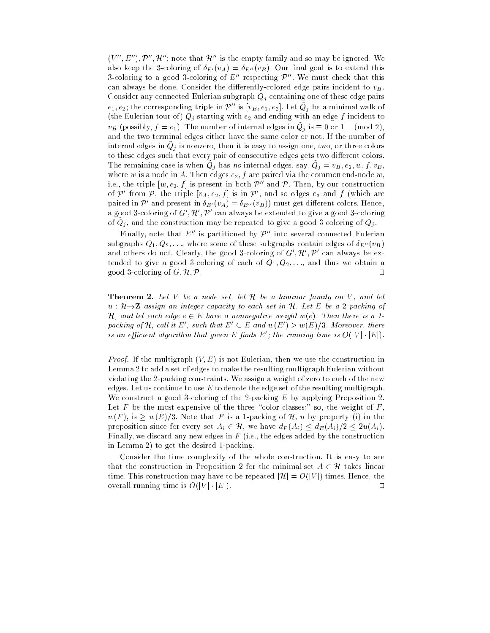$\{V\}$  .  $E$  or  $E$  and  $\pi$  and  $E$  is the empty family and so may be ignored. We also keep the 3-coloring of  $\delta_{E'}(v_A) = \delta_{E''}(v_B)$ . Our final goal is to extend this 3-coloring to a good 3-coloring of  $E''$  respecting  $\mathcal{P}''$ . We must check that this can always be done. Consider the differently-colored edge pairs incident to  $v_B$ . Consider any connected Eulerian subgraph  $Q_j$  containing one of these edge pairs  $e_1, e_2;$  the corresponding triple in  $P_{-}$  is  $[v_B, e_1, e_2]$ . Let  $Q_{\overline{j}}$  be a minimal walk of (the Eulerian tour of)  $Q_j$  starting with  $e_2$  and ending with an edge f incident to  $v_B$  (possibly,  $f = e_1$ ). The number of internal edges in  $Q_f$  is  $\equiv 0$  or 1 (mod 2), and the two terminal edges either have the same color or not. If the number of internal edges in  $Q_j$  is nonzero, then it is easy to assign one, two, or three colors to these edges such that every pair of consecutive edges gets two different colors. The remaining case is when  $Q_j$  has no internal edges, say,  $Q_j = v_B, e_2, w, J, v_B$ , where w is a node in A. Then edges  $e_2$ , f are paired via the common end-node w, i.e., the triple  $[w, e_2, f]$  is present in both  $\mathcal{P}^{\prime\prime}$  and  $\mathcal{P}$ . Then, by our construction of P from P, the triple  $[v_A, e_2, f]$  is in P , and so edges  $e_2$  and J (which are paired in P<sup>or</sup> and present in  $\sigma_{E'}(v_A) = \sigma_{E''}(v_B)$ ) must get different colors. Hence, a good 3-coloring of G<sub>0</sub>,  $\mu$  ,  $\nu$  can always be extended to give a good 3-coloring of  $Q_j$ , and the construction may be repeated to give a good 3-coloring of  $Q_j$ .

Finally, note that  $E''$  is partitioned by  $\mathcal{P}''$  into several connected Eulerian subgraphs  $Q_1, Q_2, \ldots$ , where some of these subgraphs contain edges of  $\delta_{E''}(v_B)$ and others do not. Clearly, the good 3-coloring of G  $_H$  ,  $H$  can always be extended to give a good 3-coloring of each of  $Q_1, Q_2, \ldots$ , and thus we obtain a good 3-coloring of  $G, \mathcal{H}, \mathcal{P}$ .

**Theorem 2.** Let V be a node set, let  $H$  be a laminar family on V, and let  $u : \mathcal{H} \rightarrow \mathbb{Z}$  assign an integer capacity to each set in  $\mathcal{H}$ . Let E be a 2-packing of H, and let each edge e <sup>2</sup> E have a nonnegative weight w(e). Then there is a 1 раскипа от  $\pi$ , сани и  $E_0$ , such that  $E_0 \subset E_0$  and  $w(E_1) \geq w(E_1/S)$ . Moreover, there is an efficient algorithm that given E finas E ; the running time is  $O(|V|+|E|)$ .

Proof. If the multigraph (V; E) is not Eulerian, then we use the construction in Lemma 2 to add a set of edges to make the resulting multigraph Eulerian without violating the 2-packing constraints. We assign a weight of zero to each of the new edges. Let us continue to use  $E$  to denote the edge set of the resulting multigraph. We construct a good 3-coloring of the 2-packing  $E$  by applying Proposition 2. Let F be the most expensive of the three "color classes;" so, the weight of F,  $w(F)$ , is  $\geq w(E)/3$ . Note that F is a 1-packing of H, u by property (i) in the proposition since for every set  $A_i \in \mathcal{H}$ , we have  $d_F(A_i) \leq d_E(A_i)/2 \leq 2u(A_i)$ . Finally, we discard any new edges in  $F$  (i.e., the edges added by the construction in Lemma 2) to get the desired 1-packing.

Consider the time complexity of the whole construction. It is easy to see that the construction in Proposition 2 for the minimal set  $A \in \mathcal{H}$  takes linear time. This construction may have to be repeated  $|\mathcal{H}| = O(|V|)$  times. Hence, the overall running time is  $O(|V| \cdot |E|)$ .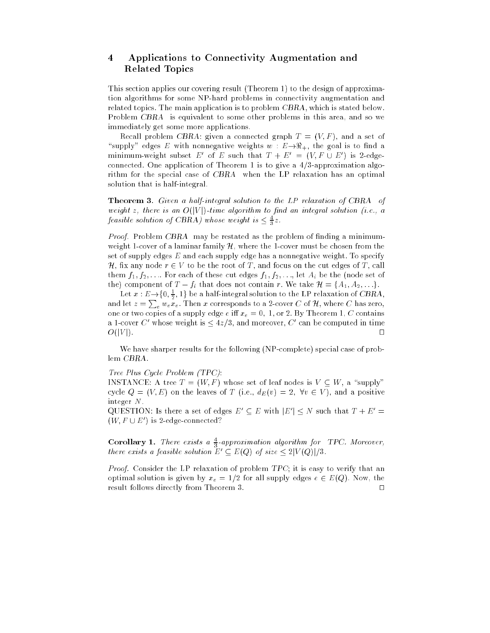## 4 Applications to Connectivity Augmentation and Related Topics

This section applies our covering result (Theorem 1) to the design of approximation algorithms for some NP-hard problems in connectivity augmentation and related topics. The main application is to problem CBRA, which is stated below. Problem CBRA is equivalent to some other problems in this area, and so we immediately get some more applications.

Recall problem CBRA: given a connected graph  $T = (V, F)$ , and a set of "supply" edges E with nonnegative weights  $w : E \rightarrow \Re_+$ , the goal is to find a minimum-weight subset E of E such that  $I + E = (V, F \cup E)$  is 2-edgeconnected. One application of Theorem 1 is to give a  $4/3$ -approximation algorithm for the special case of CBRA when the LP relaxation has an optimal solution that is half-integral.

Theorem 3. Given <sup>a</sup> half-integral solution to the LP relaxation of CBRA of weight at the start in the O(jV)-time and algorithm to finite algorithm to a solution (i.e., a feasible solution of CBRA) whose weight is  $\leq \frac{4}{3}z$ .

*Proof.* Problem CBRA may be restated as the problem of finding a minimumweight 1-cover of a laminar family  $\mathcal{H}$ , where the 1-cover must be chosen from the set of supply edges  $E$  and each supply edge has a nonnegative weight. To specify H, fix any node  $r \in V$  to be the root of T, and focus on the cut edges of T, call them  $f_1, f_2, \ldots$  For each of these cut edges  $f_1, f_2, \ldots$ , let  $A_i$  be the (node set of the) component of  $T - f_i$  that does not contain r. We take  $\mathcal{H} = \{A_1, A_2, \ldots\}$ .

Let  $x: E \rightarrow \{0, \frac{1}{2}, 1\}$  be a half-integral solution to the LP relaxation of CBRA, and let  $z = \sum_e w_e \bar{x}_e$ . Then  $x$  corresponds to a 2-cover  $C$  of  $\mathcal H$ , where  $C$  has zero, one or two copies of a supply edge e iff  $x_e = 0$ , 1, or 2. By Theorem 1, C contains a 1-cover  $\epsilon_{0}$  whose weight is  $\leq 4z/3$ , and moreover,  $\epsilon_{0}$  can be computed in time П O(jV j). ut

We have sharper results for the following (NP-complete) special case of problem CBRA.

## Tree Plus Cycle Problem (TPC):

INSTANCE: A tree  $T = (W, F)$  whose set of leaf nodes is  $V \subseteq W$ , a "supply" cycle  $Q = (V, E)$  on the leaves of T (i.e.,  $d_E(v) = 2$ ,  $\forall v \in V$ ), and a positive integer N.

QUESTION: Is there a set of edges  $E_0 \subseteq E_0$  with  $|E_0| \leq N$  such that  $T + E_0 \equiv$  $(W, F \cup E)$  is *2*-edge-connected:

**Corollary 1.** There exists a  $\frac{4}{3}$ -approximation algorithm for TPC. Moreover, there exists a feasible solution  $E_0 \subseteq E(Q)$  of size  $\leq$  2]V (Q)]/3.

*Proof.* Consider the LP relaxation of problem  $TPC$ ; it is easy to verify that an optimal solution is given by  $x_e = 1/2$  for all supply edges  $e \in E(Q)$ . Now, the result follows directly from Theorem 3.  $\Box$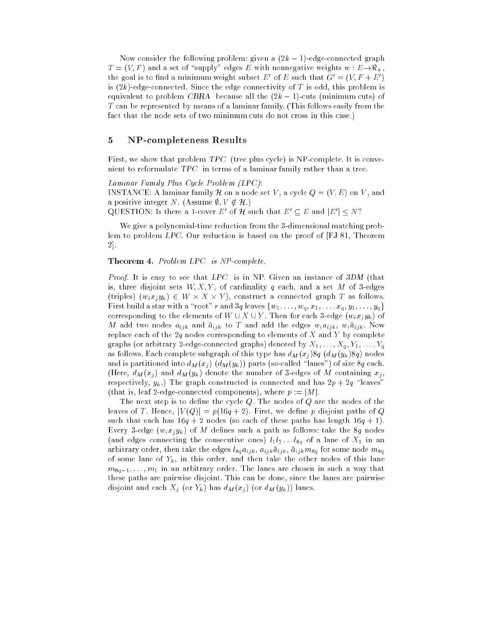Now consider the following problem: given a  $(2k - 1)$ -edge-connected graph  $T = (V, F)$  and a set of "supply" edges E with nonnegative weights  $w : E \rightarrow \Re_+$ , the goal is to find a minimum weight subset E of E such that  $G = (V, F + E)$ is  $(2k)$ -edge-connected. Since the edge connectivity of T is odd, this problem is equivalent to problem CBRA because all the  $(2k - 1)$ -cuts (minimum cuts) of T can be represented by means of a laminar family. (This follows easily from the fact that the node sets of two minimum cuts do not cross in this case.)

## 5 NP-completeness Results

First, we show that problem TPC (tree plus cycle) is NP-complete. It is convenient to reformulate TPC in terms of a laminar family rather than a tree.

Laminar Family Plus Cycle Problem (LPC):

INSTANCE: A laminar family  $\mathcal H$  on a node set V, a cycle  $Q = (V, E)$  on V, and a positive integer N. (Assume  $\emptyset, V \notin \mathcal{H}$ .)

QUESTION: is there a 1-cover E of  $\pi$  such that  $E_0 \subset E$  and  $|E_0| \leq N$ :

We give a polynomial-time reduction from the 3-dimensional matching problem to problem LPC. Our reduction is based on the proof of [FJ 81, Theorem 2].

## Theorem 4. Problem LPC is NP-complete.

*Proof.* It is easy to see that  $LPC$  is in NP. Given an instance of 3DM (that is, three disjoint sets  $W, X, Y$ , of cardinality q each, and a set M of 3-edges (triples)  $(w_i x_j y_k) \in W \times A \times T$ , construct a connected graph T as follows. First build a star with a "root" r and 3q leaves  $\{w_1, \ldots, w_q, x_1, \ldots, x_q, y_1, \ldots, y_q\}$ corresponding to the elements of  $W \cup X \cup Y$ . Then for each 3-edge  $(w_i x_j y_k)$  of M add two nodes  $a_{ijk}$  and  $\bar{a}_{ijk}$  to T and add the edges  $w_i a_{ijk}$ ,  $w_i \bar{a}_{ijk}$ . Now replace each of the 2q nodes corresponding to elements of X and Y by complete graphs (or arbitrary 2-edge-connected graphs) denoted by  $X_1, \ldots, X_q, Y_1, \ldots, Y_q$ as follows. Each complete subgraph of this type has  $d_M(x_i)8q$   $(d_M(y_k)8q)$  nodes and is partitioned into  $d_M(x_j)$   $(d_M(y_k))$  parts (so-called "lanes") of size 8q each. (Here,  $d_M(x_j)$  and  $d_M(y_k)$  denote the number of 3-edges of M containing  $x_j$ , respectively,  $y_k$ .) The graph constructed is connected and has  $2p + 2q$  "leaves" (that is, leaf 2-edge-connected components), where  $p := |M|$ .

The next step is to define the cycle  $Q$ . The nodes of  $Q$  are the nodes of the leaves of T. Hence,  $|V(Q)| = p(16q + 2)$ . First, we define p disjoint paths of Q such that each has  $16q + 2$  nodes (so each of these paths has length  $16q + 1$ ). Every 3-edge  $(w_i x_j y_k)$  of M defines such a path as follows: take the 8q nodes (and edges connecting the consecutive ones)  $l_1l_2 \ldots l_{8q}$  of a lane of  $X_1$  in an arbitrary order, then take the edges  $l_{8q}a_{ijk}$ ,  $a_{ijk}\bar{a}_{ijk}$ ,  $\bar{a}_{ijk}m_{8q}$  for some node  $m_{8q}$ of some lane of  $Y_k$ , in this order, and then take the other nodes of this lane  $m_{8q-1}, \ldots, m_1$  in an arbitrary order. The lanes are chosen in such a way that these paths are pairwise disjoint. This can be done, since the lanes are pairwise disjoint and each  $X_j$  (or  $Y_k$ ) has  $d_M(x_j)$  (or  $d_M(y_k)$ ) lanes.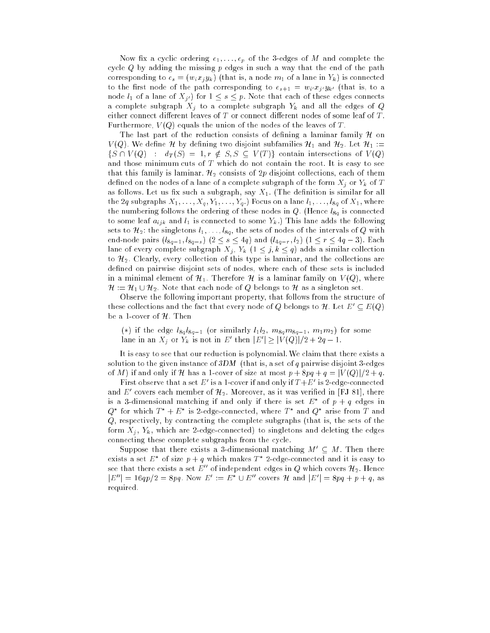Now fix a cyclic ordering  $e_1, \ldots, e_p$  of the 3-edges of M and complete the cycle  $Q$  by adding the missing  $p$  edges in such a way that the end of the path corresponding to  $e_s = (w_i x_i y_k)$  (that is, a node  $m_1$  of a lane in  $Y_k$ ) is connected to the first node of the path corresponding to  $e_{s+1} = w_i x_j y_{k'}$  (that is, to a node  $l_1$  of a lane of  $X_{j'}$  for  $1 \leq s \leq p$ . Note that each of these edges connects a complete subgraph  $X_j$  to a complete subgraph  $Y_k$  and all the edges of Q either connect different leaves of  $T$  or connect different nodes of some leaf of  $T$ . Furthermore,  $V(Q)$  equals the union of the nodes of the leaves of T.

The last part of the reduction consists of defining a laminar family  $\mathcal H$  on  $V(Q)$ . We define H by defining two disjoint subfamilies  $\mathcal{H}_1$  and  $\mathcal{H}_2$ . Let  $\mathcal{H}_1 :=$  $\{S \cap V(Q) : d_T(S) = 1, r \notin S, S \subseteq V(T)\}\)$  contain intersections of  $V(Q)$ and those minimum cuts of  $T$  which do not contain the root. It is easy to see that this family is laminar.  $\mathcal{H}_2$  consists of  $2p$  disjoint collections, each of them defined on the nodes of a lane of a complete subgraph of the form  $X_i$  or  $Y_k$  of T as follows. Let us fix such a subgraph, say  $X_1$ . (The definition is similar for all the 2q subgraphs  $X_1, \ldots, X_q, Y_1, \ldots, Y_q$ . Focus on a lane  $l_1, \ldots, l_{8q}$  of  $X_1$ , where the numbering follows the ordering of these nodes in  $Q$ . (Hence  $l_{8q}$  is connected to some leaf  $a_{ijk}$  and  $l_1$  is connected to some  $Y_k$ .) This lane adds the following sets to  $\mathcal{H}_2$ : the singletons  $l_1, \ldots, l_{8q}$ , the sets of nodes of the intervals of Q with end-node pairs  $(l_{8q-1}, l_{8q-s})$   $(2 \leq s \leq 4q)$  and  $(l_{4q-r}, l_2)$   $(1 \leq r \leq 4q-3)$ . Each lane of every complete subgraph  $X_j$ ,  $Y_k$   $(1 \leq j, k \leq q)$  adds a similar collection to  $\mathcal{H}_2$ . Clearly, every collection of this type is laminar, and the collections are defined on pairwise disjoint sets of nodes, where each of these sets is included in a minimal element of  $\mathcal{H}_1$ . Therefore H is a laminar family on  $V(Q)$ , where  $\mathcal{H}$  := H1  $\mathcal{H}$  , we have the singleton set of  $\mathcal{H}$  belongs to H as singleton set.

Observe the following important property, that follows from the structure of these collections and the fact that every node of Q belongs to H. Let  $E' \subseteq E(Q)$ be a 1-cover of  $H$ . Then

(\*) if the edge  $l_{8q}l_{8q-1}$  (or similarly  $l_1l_2$ ,  $m_{8q}m_{8q-1}$ ,  $m_1m_2$ ) for some lane in an  $A_j$  or  $Y_k$  is not in Eq. then  $|E|\geq |V(\mathcal{Q})|/2 + 2q - 1.$ 

It is easy to see that our reduction is polynomial.We claim that there exists a solution to the given instance of  $3DM$  (that is, a set of q pairwise disjoint 3-edges of M) if and only if H has a 1-cover of size at most  $p + 8pq + q = |V(Q)|/2 + q$ .

**F** ifst observe that a set  $E$  is a 1-cover if and only if  $I + E$  is 2-edge-connected and  $E$  -covers each member of  $\mathcal{H}_2$ . Moreover, as it was verified in [FJ 81], there is a 3-dimensional matching if and only if there is set  $E$  for  $p+q$  edges in  $Q$  for which  $I + E$  is 2-edge-connected, where  $I$  and  $Q$  arise from  $I$  and Q, respectively, by contracting the complete subgraphs (that is, the sets of the form  $X_j$ ,  $Y_k$ , which are 2-edge-connected) to singletons and deleting the edges connecting these complete subgraphs from the cycle.

Suppose that there exists a 3-dimensional matching  $M' \subseteq M$ . Then there exists a set  $E$  -of size  $p+q$  which makes  $I$  -z-edge-connected and it is easy to see that there exists a set  $E''$  of independent edges in Q which covers  $\mathcal{H}_2$ . Hence  $|E| = 10qp/2 = 8pq$ . Now  $E| := E \cup E$  covers H and  $|E| = 8pq + p + q$ , as required.